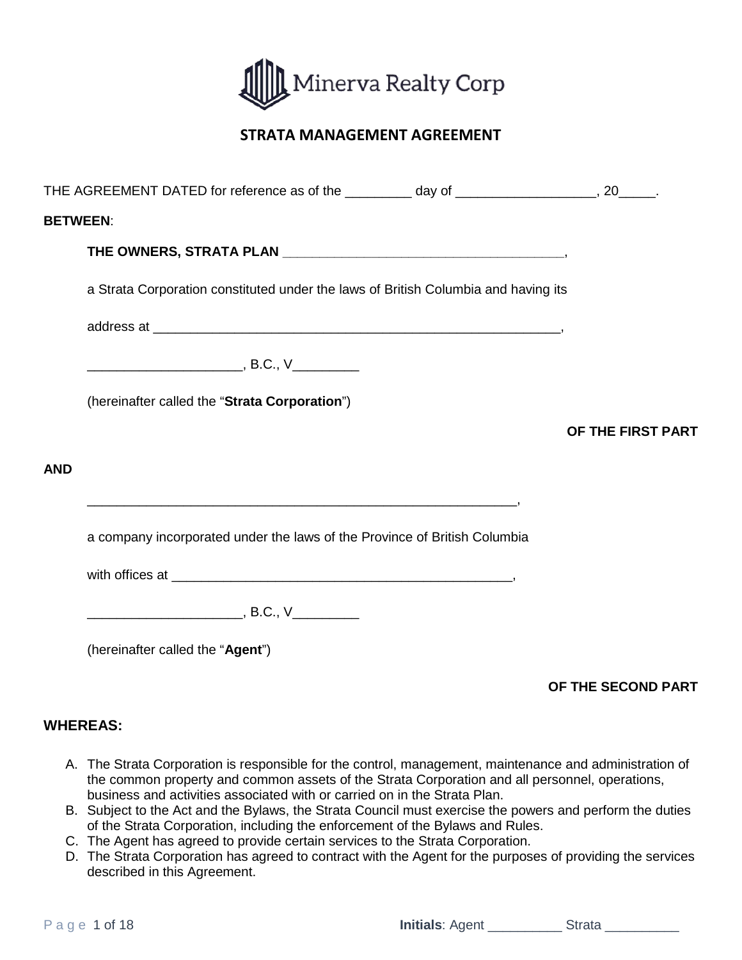

# **STRATA MANAGEMENT AGREEMENT**

|                 | THE AGREEMENT DATED for reference as of the _________ day of __________________, 20_____. |                   |  |  |  |
|-----------------|-------------------------------------------------------------------------------------------|-------------------|--|--|--|
| <b>BETWEEN:</b> |                                                                                           |                   |  |  |  |
|                 |                                                                                           |                   |  |  |  |
|                 | a Strata Corporation constituted under the laws of British Columbia and having its        |                   |  |  |  |
|                 |                                                                                           |                   |  |  |  |
|                 |                                                                                           |                   |  |  |  |
|                 | (hereinafter called the "Strata Corporation")                                             |                   |  |  |  |
|                 |                                                                                           | OF THE FIRST PART |  |  |  |
| <b>AND</b>      |                                                                                           |                   |  |  |  |
|                 |                                                                                           |                   |  |  |  |
|                 | a company incorporated under the laws of the Province of British Columbia                 |                   |  |  |  |
|                 |                                                                                           |                   |  |  |  |
|                 |                                                                                           |                   |  |  |  |
|                 | (hereinafter called the "Agent")                                                          |                   |  |  |  |
|                 |                                                                                           |                   |  |  |  |

# **OF THE SECOND PART**

# **WHEREAS:**

- A. The Strata Corporation is responsible for the control, management, maintenance and administration of the common property and common assets of the Strata Corporation and all personnel, operations, business and activities associated with or carried on in the Strata Plan.
- B. Subject to the Act and the Bylaws, the Strata Council must exercise the powers and perform the duties of the Strata Corporation, including the enforcement of the Bylaws and Rules.
- C. The Agent has agreed to provide certain services to the Strata Corporation.
- D. The Strata Corporation has agreed to contract with the Agent for the purposes of providing the services described in this Agreement.

Page 1 of 18 **Initials**: Agent \_\_\_\_\_\_\_\_\_\_ Strata \_\_\_\_\_\_\_\_\_\_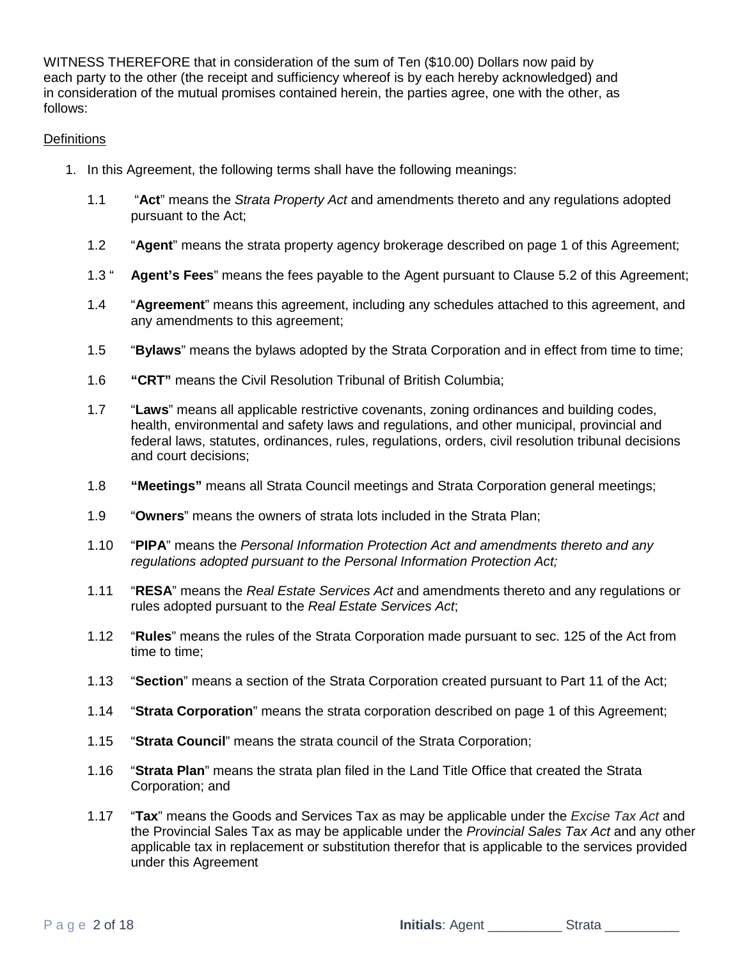WITNESS THEREFORE that in consideration of the sum of Ten (\$10.00) Dollars now paid by each party to the other (the receipt and sufficiency whereof is by each hereby acknowledged) and in consideration of the mutual promises contained herein, the parties agree, one with the other, as follows:

## **Definitions**

- 1. In this Agreement, the following terms shall have the following meanings:
	- 1.1 "**Act**" means the *Strata Property Act* and amendments thereto and any regulations adopted pursuant to the Act;
	- 1.2 "**Agent**" means the strata property agency brokerage described on page 1 of this Agreement;
	- 1.3 " **Agent's Fees**" means the fees payable to the Agent pursuant to Clause 5.2 of this Agreement;
	- 1.4 "**Agreement**" means this agreement, including any schedules attached to this agreement, and any amendments to this agreement;
	- 1.5 "**Bylaws**" means the bylaws adopted by the Strata Corporation and in effect from time to time;
	- 1.6 **"CRT"** means the Civil Resolution Tribunal of British Columbia;
	- 1.7 "**Laws**" means all applicable restrictive covenants, zoning ordinances and building codes, health, environmental and safety laws and regulations, and other municipal, provincial and federal laws, statutes, ordinances, rules, regulations, orders, civil resolution tribunal decisions and court decisions;
	- 1.8 **"Meetings"** means all Strata Council meetings and Strata Corporation general meetings;
	- 1.9 "**Owners**" means the owners of strata lots included in the Strata Plan;
	- 1.10 "**PIPA**" means the *Personal Information Protection Act and amendments thereto and any regulations adopted pursuant to the Personal Information Protection Act;*
	- 1.11 "**RESA**" means the *Real Estate Services Act* and amendments thereto and any regulations or rules adopted pursuant to the *Real Estate Services Act*;
	- 1.12 "**Rules**" means the rules of the Strata Corporation made pursuant to sec. 125 of the Act from time to time;
	- 1.13 "**Section**" means a section of the Strata Corporation created pursuant to Part 11 of the Act;
	- 1.14 "**Strata Corporation**" means the strata corporation described on page 1 of this Agreement;
	- 1.15 "**Strata Council**" means the strata council of the Strata Corporation;
	- 1.16 "**Strata Plan**" means the strata plan filed in the Land Title Office that created the Strata Corporation; and
	- 1.17 "**Tax**" means the Goods and Services Tax as may be applicable under the *Excise Tax Act* and the Provincial Sales Tax as may be applicable under the *Provincial Sales Tax Act* and any other applicable tax in replacement or substitution therefor that is applicable to the services provided under this Agreement

Page 2 of 18 **Initials**: Agent \_\_\_\_\_\_\_\_\_\_ Strata \_\_\_\_\_\_\_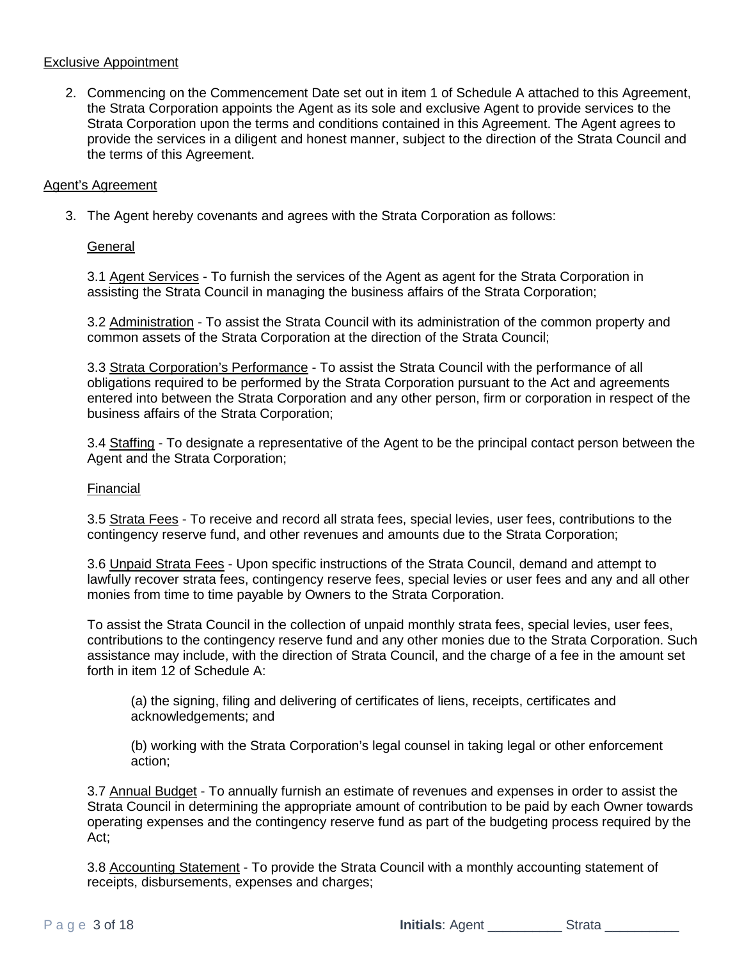## Exclusive Appointment

2. Commencing on the Commencement Date set out in item 1 of Schedule A attached to this Agreement, the Strata Corporation appoints the Agent as its sole and exclusive Agent to provide services to the Strata Corporation upon the terms and conditions contained in this Agreement. The Agent agrees to provide the services in a diligent and honest manner, subject to the direction of the Strata Council and the terms of this Agreement.

## Agent's Agreement

3. The Agent hereby covenants and agrees with the Strata Corporation as follows:

## **General**

3.1 Agent Services - To furnish the services of the Agent as agent for the Strata Corporation in assisting the Strata Council in managing the business affairs of the Strata Corporation;

3.2 Administration - To assist the Strata Council with its administration of the common property and common assets of the Strata Corporation at the direction of the Strata Council;

3.3 Strata Corporation's Performance - To assist the Strata Council with the performance of all obligations required to be performed by the Strata Corporation pursuant to the Act and agreements entered into between the Strata Corporation and any other person, firm or corporation in respect of the business affairs of the Strata Corporation;

3.4 Staffing - To designate a representative of the Agent to be the principal contact person between the Agent and the Strata Corporation;

#### Financial

3.5 Strata Fees - To receive and record all strata fees, special levies, user fees, contributions to the contingency reserve fund, and other revenues and amounts due to the Strata Corporation;

3.6 Unpaid Strata Fees - Upon specific instructions of the Strata Council, demand and attempt to lawfully recover strata fees, contingency reserve fees, special levies or user fees and any and all other monies from time to time payable by Owners to the Strata Corporation.

To assist the Strata Council in the collection of unpaid monthly strata fees, special levies, user fees, contributions to the contingency reserve fund and any other monies due to the Strata Corporation. Such assistance may include, with the direction of Strata Council, and the charge of a fee in the amount set forth in item 12 of Schedule A:

(a) the signing, filing and delivering of certificates of liens, receipts, certificates and acknowledgements; and

(b) working with the Strata Corporation's legal counsel in taking legal or other enforcement action;

3.7 Annual Budget - To annually furnish an estimate of revenues and expenses in order to assist the Strata Council in determining the appropriate amount of contribution to be paid by each Owner towards operating expenses and the contingency reserve fund as part of the budgeting process required by the Act;

3.8 Accounting Statement - To provide the Strata Council with a monthly accounting statement of receipts, disbursements, expenses and charges;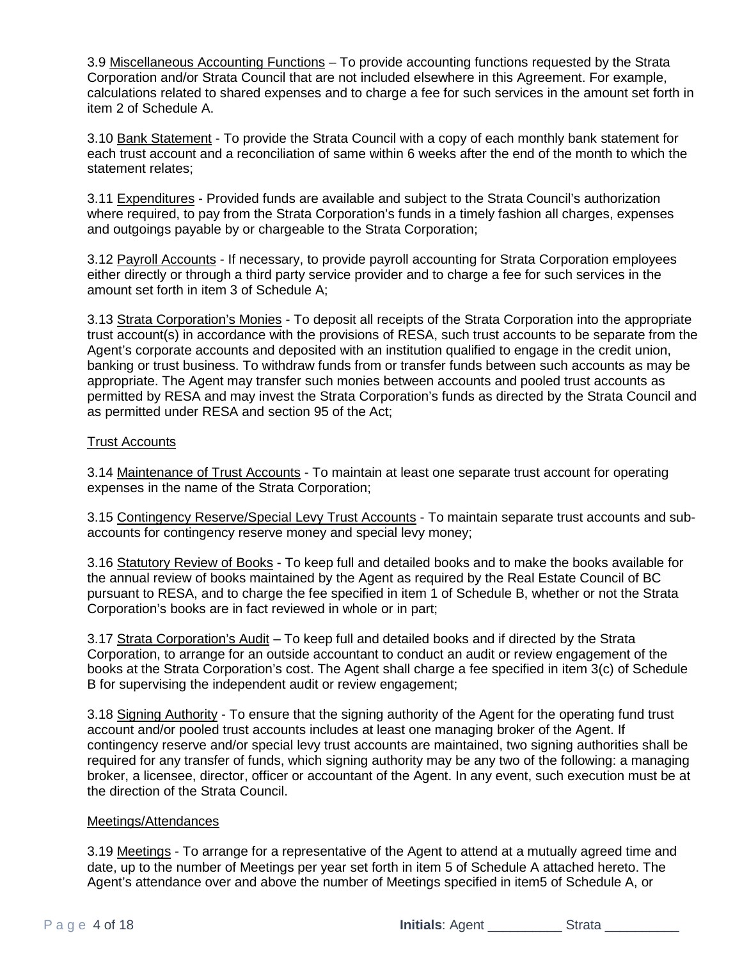3.9 Miscellaneous Accounting Functions – To provide accounting functions requested by the Strata Corporation and/or Strata Council that are not included elsewhere in this Agreement. For example, calculations related to shared expenses and to charge a fee for such services in the amount set forth in item 2 of Schedule A.

3.10 Bank Statement - To provide the Strata Council with a copy of each monthly bank statement for each trust account and a reconciliation of same within 6 weeks after the end of the month to which the statement relates;

3.11 Expenditures - Provided funds are available and subject to the Strata Council's authorization where required, to pay from the Strata Corporation's funds in a timely fashion all charges, expenses and outgoings payable by or chargeable to the Strata Corporation;

3.12 Payroll Accounts - If necessary, to provide payroll accounting for Strata Corporation employees either directly or through a third party service provider and to charge a fee for such services in the amount set forth in item 3 of Schedule A;

3.13 Strata Corporation's Monies - To deposit all receipts of the Strata Corporation into the appropriate trust account(s) in accordance with the provisions of RESA, such trust accounts to be separate from the Agent's corporate accounts and deposited with an institution qualified to engage in the credit union, banking or trust business. To withdraw funds from or transfer funds between such accounts as may be appropriate. The Agent may transfer such monies between accounts and pooled trust accounts as permitted by RESA and may invest the Strata Corporation's funds as directed by the Strata Council and as permitted under RESA and section 95 of the Act;

## Trust Accounts

3.14 Maintenance of Trust Accounts - To maintain at least one separate trust account for operating expenses in the name of the Strata Corporation;

3.15 Contingency Reserve/Special Levy Trust Accounts - To maintain separate trust accounts and subaccounts for contingency reserve money and special levy money;

3.16 Statutory Review of Books - To keep full and detailed books and to make the books available for the annual review of books maintained by the Agent as required by the Real Estate Council of BC pursuant to RESA, and to charge the fee specified in item 1 of Schedule B, whether or not the Strata Corporation's books are in fact reviewed in whole or in part;

3.17 Strata Corporation's Audit – To keep full and detailed books and if directed by the Strata Corporation, to arrange for an outside accountant to conduct an audit or review engagement of the books at the Strata Corporation's cost. The Agent shall charge a fee specified in item 3(c) of Schedule B for supervising the independent audit or review engagement;

3.18 Signing Authority - To ensure that the signing authority of the Agent for the operating fund trust account and/or pooled trust accounts includes at least one managing broker of the Agent. If contingency reserve and/or special levy trust accounts are maintained, two signing authorities shall be required for any transfer of funds, which signing authority may be any two of the following: a managing broker, a licensee, director, officer or accountant of the Agent. In any event, such execution must be at the direction of the Strata Council.

#### Meetings/Attendances

3.19 Meetings - To arrange for a representative of the Agent to attend at a mutually agreed time and date, up to the number of Meetings per year set forth in item 5 of Schedule A attached hereto. The Agent's attendance over and above the number of Meetings specified in item5 of Schedule A, or

Page 4 of 18 **Initials**: Agent \_\_\_\_\_\_\_\_\_\_ Strata \_\_\_\_\_\_\_\_\_\_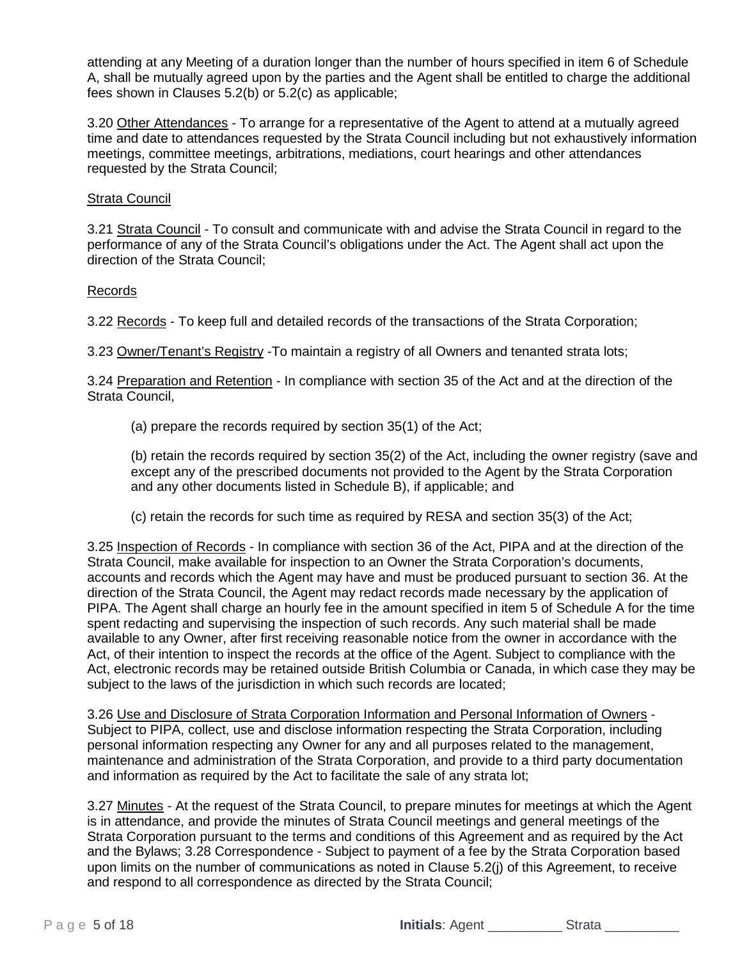attending at any Meeting of a duration longer than the number of hours specified in item 6 of Schedule A, shall be mutually agreed upon by the parties and the Agent shall be entitled to charge the additional fees shown in Clauses 5.2(b) or 5.2(c) as applicable;

3.20 Other Attendances - To arrange for a representative of the Agent to attend at a mutually agreed time and date to attendances requested by the Strata Council including but not exhaustively information meetings, committee meetings, arbitrations, mediations, court hearings and other attendances requested by the Strata Council;

## Strata Council

3.21 Strata Council - To consult and communicate with and advise the Strata Council in regard to the performance of any of the Strata Council's obligations under the Act. The Agent shall act upon the direction of the Strata Council;

## Records

3.22 Records - To keep full and detailed records of the transactions of the Strata Corporation;

3.23 Owner/Tenant's Registry -To maintain a registry of all Owners and tenanted strata lots;

3.24 Preparation and Retention - In compliance with section 35 of the Act and at the direction of the Strata Council,

(a) prepare the records required by section 35(1) of the Act;

(b) retain the records required by section 35(2) of the Act, including the owner registry (save and except any of the prescribed documents not provided to the Agent by the Strata Corporation and any other documents listed in Schedule B), if applicable; and

(c) retain the records for such time as required by RESA and section 35(3) of the Act;

3.25 Inspection of Records - In compliance with section 36 of the Act, PIPA and at the direction of the Strata Council, make available for inspection to an Owner the Strata Corporation's documents, accounts and records which the Agent may have and must be produced pursuant to section 36. At the direction of the Strata Council, the Agent may redact records made necessary by the application of PIPA. The Agent shall charge an hourly fee in the amount specified in item 5 of Schedule A for the time spent redacting and supervising the inspection of such records. Any such material shall be made available to any Owner, after first receiving reasonable notice from the owner in accordance with the Act, of their intention to inspect the records at the office of the Agent. Subject to compliance with the Act, electronic records may be retained outside British Columbia or Canada, in which case they may be subject to the laws of the jurisdiction in which such records are located;

3.26 Use and Disclosure of Strata Corporation Information and Personal Information of Owners - Subject to PIPA, collect, use and disclose information respecting the Strata Corporation, including personal information respecting any Owner for any and all purposes related to the management, maintenance and administration of the Strata Corporation, and provide to a third party documentation and information as required by the Act to facilitate the sale of any strata lot;

3.27 Minutes - At the request of the Strata Council, to prepare minutes for meetings at which the Agent is in attendance, and provide the minutes of Strata Council meetings and general meetings of the Strata Corporation pursuant to the terms and conditions of this Agreement and as required by the Act and the Bylaws; 3.28 Correspondence - Subject to payment of a fee by the Strata Corporation based upon limits on the number of communications as noted in Clause 5.2(j) of this Agreement, to receive and respond to all correspondence as directed by the Strata Council;

Page 5 of 18 **Initials**: Agent \_\_\_\_\_\_\_\_\_\_ Strata \_\_\_\_\_\_\_\_\_\_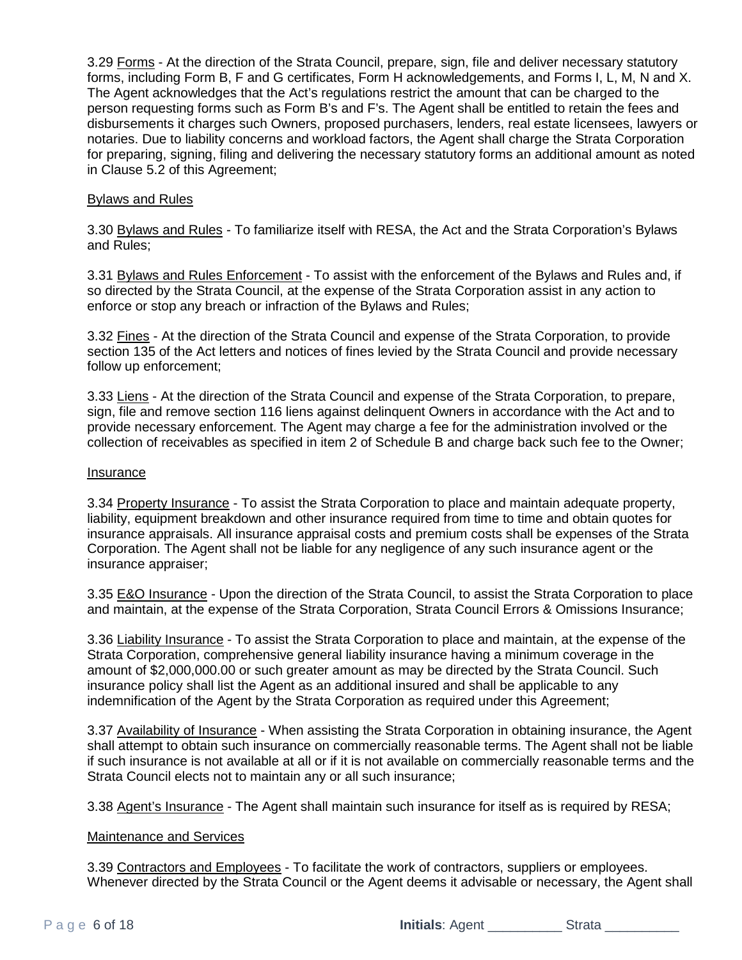3.29 Forms - At the direction of the Strata Council, prepare, sign, file and deliver necessary statutory forms, including Form B, F and G certificates, Form H acknowledgements, and Forms I, L, M, N and X. The Agent acknowledges that the Act's regulations restrict the amount that can be charged to the person requesting forms such as Form B's and F's. The Agent shall be entitled to retain the fees and disbursements it charges such Owners, proposed purchasers, lenders, real estate licensees, lawyers or notaries. Due to liability concerns and workload factors, the Agent shall charge the Strata Corporation for preparing, signing, filing and delivering the necessary statutory forms an additional amount as noted in Clause 5.2 of this Agreement;

#### Bylaws and Rules

3.30 Bylaws and Rules - To familiarize itself with RESA, the Act and the Strata Corporation's Bylaws and Rules;

3.31 Bylaws and Rules Enforcement - To assist with the enforcement of the Bylaws and Rules and, if so directed by the Strata Council, at the expense of the Strata Corporation assist in any action to enforce or stop any breach or infraction of the Bylaws and Rules;

3.32 Fines - At the direction of the Strata Council and expense of the Strata Corporation, to provide section 135 of the Act letters and notices of fines levied by the Strata Council and provide necessary follow up enforcement;

3.33 Liens - At the direction of the Strata Council and expense of the Strata Corporation, to prepare, sign, file and remove section 116 liens against delinquent Owners in accordance with the Act and to provide necessary enforcement. The Agent may charge a fee for the administration involved or the collection of receivables as specified in item 2 of Schedule B and charge back such fee to the Owner;

#### Insurance

3.34 Property Insurance - To assist the Strata Corporation to place and maintain adequate property, liability, equipment breakdown and other insurance required from time to time and obtain quotes for insurance appraisals. All insurance appraisal costs and premium costs shall be expenses of the Strata Corporation. The Agent shall not be liable for any negligence of any such insurance agent or the insurance appraiser;

3.35 E&O Insurance - Upon the direction of the Strata Council, to assist the Strata Corporation to place and maintain, at the expense of the Strata Corporation, Strata Council Errors & Omissions Insurance;

3.36 Liability Insurance - To assist the Strata Corporation to place and maintain, at the expense of the Strata Corporation, comprehensive general liability insurance having a minimum coverage in the amount of \$2,000,000.00 or such greater amount as may be directed by the Strata Council. Such insurance policy shall list the Agent as an additional insured and shall be applicable to any indemnification of the Agent by the Strata Corporation as required under this Agreement;

3.37 Availability of Insurance - When assisting the Strata Corporation in obtaining insurance, the Agent shall attempt to obtain such insurance on commercially reasonable terms. The Agent shall not be liable if such insurance is not available at all or if it is not available on commercially reasonable terms and the Strata Council elects not to maintain any or all such insurance;

3.38 Agent's Insurance - The Agent shall maintain such insurance for itself as is required by RESA;

#### Maintenance and Services

3.39 Contractors and Employees - To facilitate the work of contractors, suppliers or employees. Whenever directed by the Strata Council or the Agent deems it advisable or necessary, the Agent shall

Page 6 of 18 **Initials**: Agent \_\_\_\_\_\_\_\_\_\_\_ Strata \_\_\_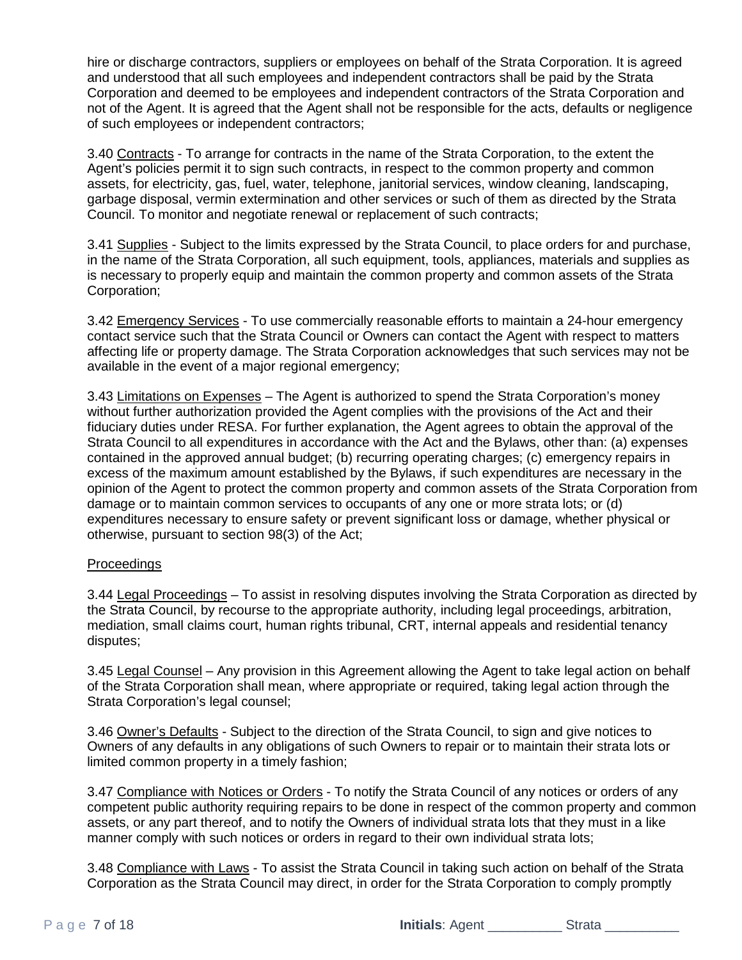hire or discharge contractors, suppliers or employees on behalf of the Strata Corporation. It is agreed and understood that all such employees and independent contractors shall be paid by the Strata Corporation and deemed to be employees and independent contractors of the Strata Corporation and not of the Agent. It is agreed that the Agent shall not be responsible for the acts, defaults or negligence of such employees or independent contractors;

3.40 Contracts - To arrange for contracts in the name of the Strata Corporation, to the extent the Agent's policies permit it to sign such contracts, in respect to the common property and common assets, for electricity, gas, fuel, water, telephone, janitorial services, window cleaning, landscaping, garbage disposal, vermin extermination and other services or such of them as directed by the Strata Council. To monitor and negotiate renewal or replacement of such contracts;

3.41 Supplies - Subject to the limits expressed by the Strata Council, to place orders for and purchase, in the name of the Strata Corporation, all such equipment, tools, appliances, materials and supplies as is necessary to properly equip and maintain the common property and common assets of the Strata Corporation;

3.42 Emergency Services - To use commercially reasonable efforts to maintain a 24-hour emergency contact service such that the Strata Council or Owners can contact the Agent with respect to matters affecting life or property damage. The Strata Corporation acknowledges that such services may not be available in the event of a major regional emergency;

3.43 Limitations on Expenses - The Agent is authorized to spend the Strata Corporation's monev without further authorization provided the Agent complies with the provisions of the Act and their fiduciary duties under RESA. For further explanation, the Agent agrees to obtain the approval of the Strata Council to all expenditures in accordance with the Act and the Bylaws, other than: (a) expenses contained in the approved annual budget; (b) recurring operating charges; (c) emergency repairs in excess of the maximum amount established by the Bylaws, if such expenditures are necessary in the opinion of the Agent to protect the common property and common assets of the Strata Corporation from damage or to maintain common services to occupants of any one or more strata lots; or (d) expenditures necessary to ensure safety or prevent significant loss or damage, whether physical or otherwise, pursuant to section 98(3) of the Act;

## **Proceedings**

3.44 Legal Proceedings – To assist in resolving disputes involving the Strata Corporation as directed by the Strata Council, by recourse to the appropriate authority, including legal proceedings, arbitration, mediation, small claims court, human rights tribunal, CRT, internal appeals and residential tenancy disputes;

3.45 Legal Counsel – Any provision in this Agreement allowing the Agent to take legal action on behalf of the Strata Corporation shall mean, where appropriate or required, taking legal action through the Strata Corporation's legal counsel;

3.46 Owner's Defaults - Subject to the direction of the Strata Council, to sign and give notices to Owners of any defaults in any obligations of such Owners to repair or to maintain their strata lots or limited common property in a timely fashion;

3.47 Compliance with Notices or Orders - To notify the Strata Council of any notices or orders of any competent public authority requiring repairs to be done in respect of the common property and common assets, or any part thereof, and to notify the Owners of individual strata lots that they must in a like manner comply with such notices or orders in regard to their own individual strata lots;

3.48 Compliance with Laws - To assist the Strata Council in taking such action on behalf of the Strata Corporation as the Strata Council may direct, in order for the Strata Corporation to comply promptly

Page **7 of 18 Initials**: Agent \_\_\_\_\_\_\_\_\_\_\_Strata \_\_\_\_\_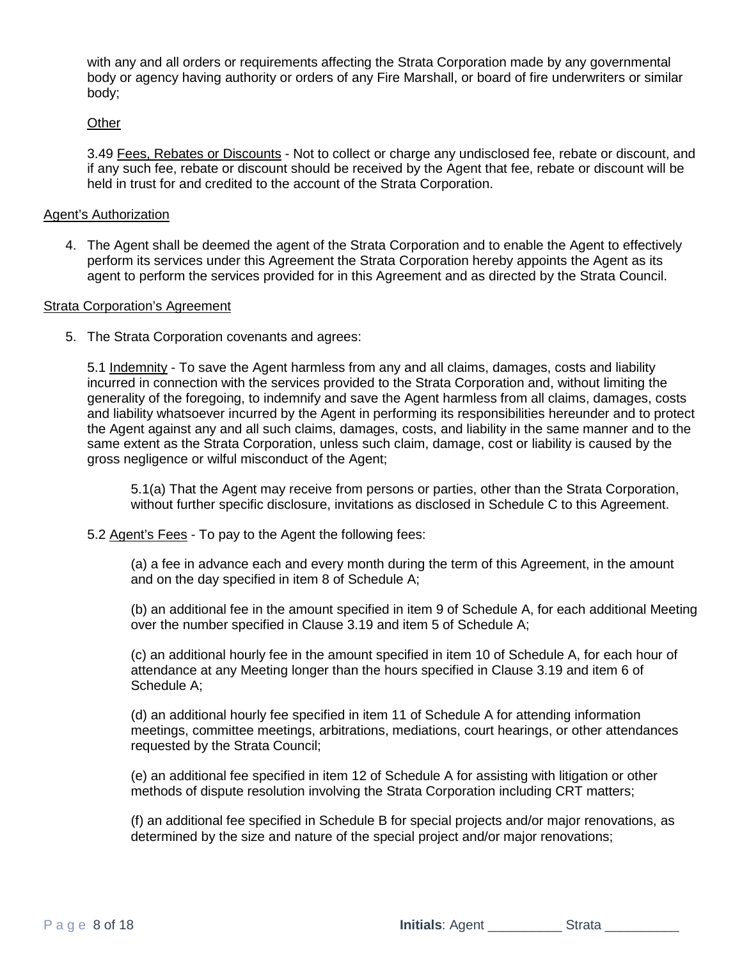with any and all orders or requirements affecting the Strata Corporation made by any governmental body or agency having authority or orders of any Fire Marshall, or board of fire underwriters or similar body;

#### **Other**

3.49 Fees, Rebates or Discounts - Not to collect or charge any undisclosed fee, rebate or discount, and if any such fee, rebate or discount should be received by the Agent that fee, rebate or discount will be held in trust for and credited to the account of the Strata Corporation.

#### Agent's Authorization

4. The Agent shall be deemed the agent of the Strata Corporation and to enable the Agent to effectively perform its services under this Agreement the Strata Corporation hereby appoints the Agent as its agent to perform the services provided for in this Agreement and as directed by the Strata Council.

#### Strata Corporation's Agreement

5. The Strata Corporation covenants and agrees:

5.1 Indemnity - To save the Agent harmless from any and all claims, damages, costs and liability incurred in connection with the services provided to the Strata Corporation and, without limiting the generality of the foregoing, to indemnify and save the Agent harmless from all claims, damages, costs and liability whatsoever incurred by the Agent in performing its responsibilities hereunder and to protect the Agent against any and all such claims, damages, costs, and liability in the same manner and to the same extent as the Strata Corporation, unless such claim, damage, cost or liability is caused by the gross negligence or wilful misconduct of the Agent;

5.1(a) That the Agent may receive from persons or parties, other than the Strata Corporation, without further specific disclosure, invitations as disclosed in Schedule C to this Agreement.

5.2 Agent's Fees - To pay to the Agent the following fees:

(a) a fee in advance each and every month during the term of this Agreement, in the amount and on the day specified in item 8 of Schedule A;

(b) an additional fee in the amount specified in item 9 of Schedule A, for each additional Meeting over the number specified in Clause 3.19 and item 5 of Schedule A;

(c) an additional hourly fee in the amount specified in item 10 of Schedule A, for each hour of attendance at any Meeting longer than the hours specified in Clause 3.19 and item 6 of Schedule A;

(d) an additional hourly fee specified in item 11 of Schedule A for attending information meetings, committee meetings, arbitrations, mediations, court hearings, or other attendances requested by the Strata Council;

(e) an additional fee specified in item 12 of Schedule A for assisting with litigation or other methods of dispute resolution involving the Strata Corporation including CRT matters;

(f) an additional fee specified in Schedule B for special projects and/or major renovations, as determined by the size and nature of the special project and/or major renovations;

Page 8 of 18 **Initials**: Agent \_\_\_\_\_\_\_\_\_\_ Strata \_\_\_\_\_\_\_\_\_\_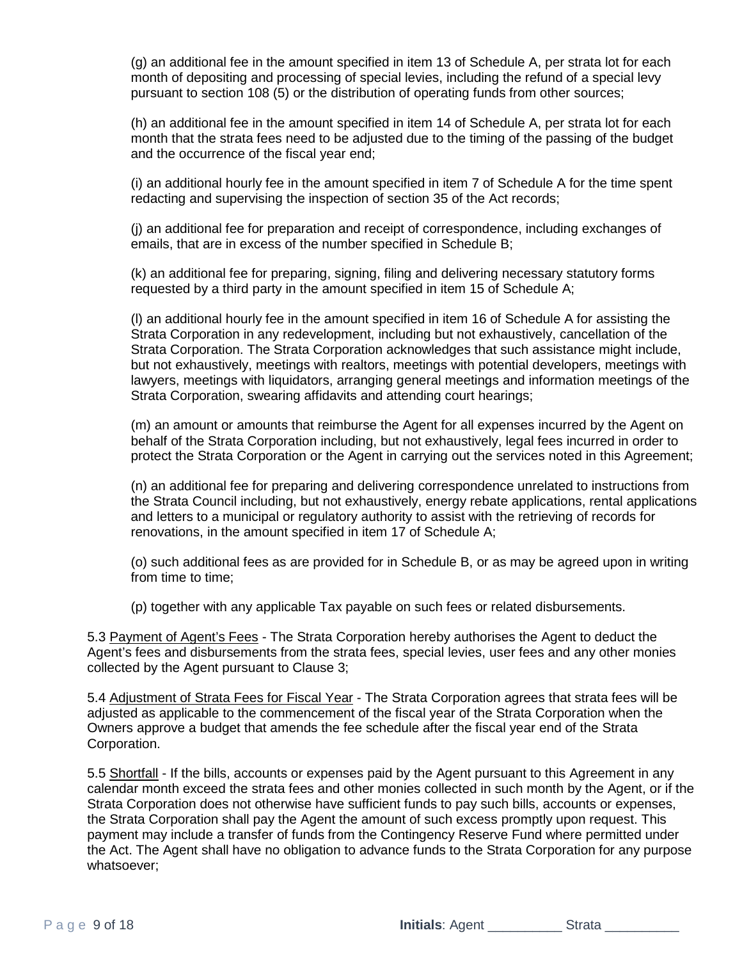(g) an additional fee in the amount specified in item 13 of Schedule A, per strata lot for each month of depositing and processing of special levies, including the refund of a special levy pursuant to section 108 (5) or the distribution of operating funds from other sources;

(h) an additional fee in the amount specified in item 14 of Schedule A, per strata lot for each month that the strata fees need to be adjusted due to the timing of the passing of the budget and the occurrence of the fiscal year end;

(i) an additional hourly fee in the amount specified in item 7 of Schedule A for the time spent redacting and supervising the inspection of section 35 of the Act records;

(j) an additional fee for preparation and receipt of correspondence, including exchanges of emails, that are in excess of the number specified in Schedule B;

(k) an additional fee for preparing, signing, filing and delivering necessary statutory forms requested by a third party in the amount specified in item 15 of Schedule A;

(l) an additional hourly fee in the amount specified in item 16 of Schedule A for assisting the Strata Corporation in any redevelopment, including but not exhaustively, cancellation of the Strata Corporation. The Strata Corporation acknowledges that such assistance might include, but not exhaustively, meetings with realtors, meetings with potential developers, meetings with lawyers, meetings with liquidators, arranging general meetings and information meetings of the Strata Corporation, swearing affidavits and attending court hearings;

(m) an amount or amounts that reimburse the Agent for all expenses incurred by the Agent on behalf of the Strata Corporation including, but not exhaustively, legal fees incurred in order to protect the Strata Corporation or the Agent in carrying out the services noted in this Agreement;

(n) an additional fee for preparing and delivering correspondence unrelated to instructions from the Strata Council including, but not exhaustively, energy rebate applications, rental applications and letters to a municipal or regulatory authority to assist with the retrieving of records for renovations, in the amount specified in item 17 of Schedule A;

(o) such additional fees as are provided for in Schedule B, or as may be agreed upon in writing from time to time;

(p) together with any applicable Tax payable on such fees or related disbursements.

5.3 Payment of Agent's Fees - The Strata Corporation hereby authorises the Agent to deduct the Agent's fees and disbursements from the strata fees, special levies, user fees and any other monies collected by the Agent pursuant to Clause 3;

5.4 Adjustment of Strata Fees for Fiscal Year - The Strata Corporation agrees that strata fees will be adjusted as applicable to the commencement of the fiscal year of the Strata Corporation when the Owners approve a budget that amends the fee schedule after the fiscal year end of the Strata Corporation.

5.5 Shortfall - If the bills, accounts or expenses paid by the Agent pursuant to this Agreement in any calendar month exceed the strata fees and other monies collected in such month by the Agent, or if the Strata Corporation does not otherwise have sufficient funds to pay such bills, accounts or expenses, the Strata Corporation shall pay the Agent the amount of such excess promptly upon request. This payment may include a transfer of funds from the Contingency Reserve Fund where permitted under the Act. The Agent shall have no obligation to advance funds to the Strata Corporation for any purpose whatsoever;

Page 9 of 18 **Initials**: Agent \_\_\_\_\_\_\_\_\_\_ Strata \_\_\_\_\_\_\_\_\_\_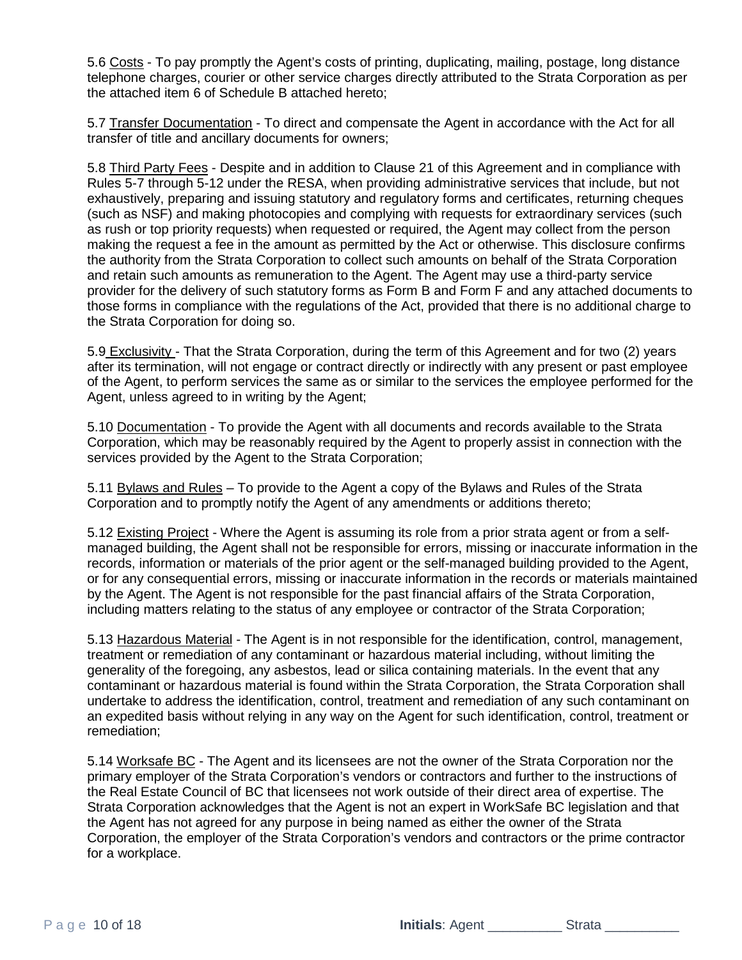5.6 Costs - To pay promptly the Agent's costs of printing, duplicating, mailing, postage, long distance telephone charges, courier or other service charges directly attributed to the Strata Corporation as per the attached item 6 of Schedule B attached hereto;

5.7 Transfer Documentation - To direct and compensate the Agent in accordance with the Act for all transfer of title and ancillary documents for owners;

5.8 Third Party Fees - Despite and in addition to Clause 21 of this Agreement and in compliance with Rules 5-7 through 5-12 under the RESA, when providing administrative services that include, but not exhaustively, preparing and issuing statutory and regulatory forms and certificates, returning cheques (such as NSF) and making photocopies and complying with requests for extraordinary services (such as rush or top priority requests) when requested or required, the Agent may collect from the person making the request a fee in the amount as permitted by the Act or otherwise. This disclosure confirms the authority from the Strata Corporation to collect such amounts on behalf of the Strata Corporation and retain such amounts as remuneration to the Agent. The Agent may use a third-party service provider for the delivery of such statutory forms as Form B and Form F and any attached documents to those forms in compliance with the regulations of the Act, provided that there is no additional charge to the Strata Corporation for doing so.

5.9 Exclusivity - That the Strata Corporation, during the term of this Agreement and for two (2) years after its termination, will not engage or contract directly or indirectly with any present or past employee of the Agent, to perform services the same as or similar to the services the employee performed for the Agent, unless agreed to in writing by the Agent;

5.10 Documentation - To provide the Agent with all documents and records available to the Strata Corporation, which may be reasonably required by the Agent to properly assist in connection with the services provided by the Agent to the Strata Corporation;

5.11 Bylaws and Rules – To provide to the Agent a copy of the Bylaws and Rules of the Strata Corporation and to promptly notify the Agent of any amendments or additions thereto;

5.12 Existing Project - Where the Agent is assuming its role from a prior strata agent or from a selfmanaged building, the Agent shall not be responsible for errors, missing or inaccurate information in the records, information or materials of the prior agent or the self-managed building provided to the Agent, or for any consequential errors, missing or inaccurate information in the records or materials maintained by the Agent. The Agent is not responsible for the past financial affairs of the Strata Corporation, including matters relating to the status of any employee or contractor of the Strata Corporation;

5.13 Hazardous Material - The Agent is in not responsible for the identification, control, management, treatment or remediation of any contaminant or hazardous material including, without limiting the generality of the foregoing, any asbestos, lead or silica containing materials. In the event that any contaminant or hazardous material is found within the Strata Corporation, the Strata Corporation shall undertake to address the identification, control, treatment and remediation of any such contaminant on an expedited basis without relying in any way on the Agent for such identification, control, treatment or remediation;

5.14 Worksafe BC - The Agent and its licensees are not the owner of the Strata Corporation nor the primary employer of the Strata Corporation's vendors or contractors and further to the instructions of the Real Estate Council of BC that licensees not work outside of their direct area of expertise. The Strata Corporation acknowledges that the Agent is not an expert in WorkSafe BC legislation and that the Agent has not agreed for any purpose in being named as either the owner of the Strata Corporation, the employer of the Strata Corporation's vendors and contractors or the prime contractor for a workplace.

Page 10 of 18 **Initials**: Agent \_\_\_\_\_\_\_\_\_\_ Strata \_\_\_\_\_\_\_\_\_\_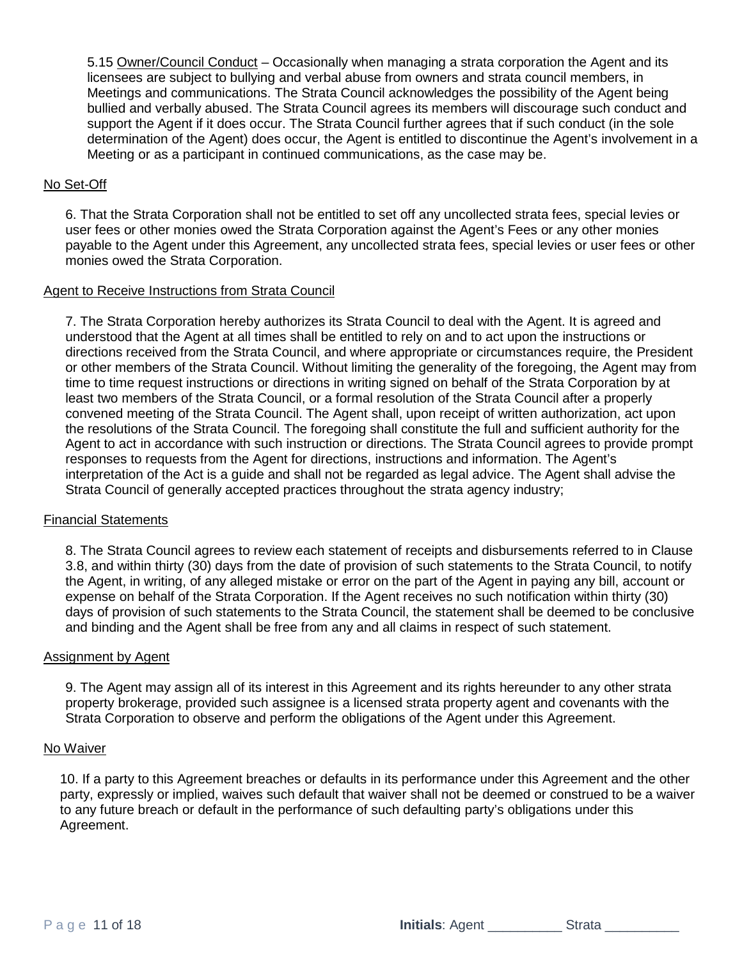5.15 Owner/Council Conduct – Occasionally when managing a strata corporation the Agent and its licensees are subject to bullying and verbal abuse from owners and strata council members, in Meetings and communications. The Strata Council acknowledges the possibility of the Agent being bullied and verbally abused. The Strata Council agrees its members will discourage such conduct and support the Agent if it does occur. The Strata Council further agrees that if such conduct (in the sole determination of the Agent) does occur, the Agent is entitled to discontinue the Agent's involvement in a Meeting or as a participant in continued communications, as the case may be.

## No Set-Off

6. That the Strata Corporation shall not be entitled to set off any uncollected strata fees, special levies or user fees or other monies owed the Strata Corporation against the Agent's Fees or any other monies payable to the Agent under this Agreement, any uncollected strata fees, special levies or user fees or other monies owed the Strata Corporation.

#### Agent to Receive Instructions from Strata Council

7. The Strata Corporation hereby authorizes its Strata Council to deal with the Agent. It is agreed and understood that the Agent at all times shall be entitled to rely on and to act upon the instructions or directions received from the Strata Council, and where appropriate or circumstances require, the President or other members of the Strata Council. Without limiting the generality of the foregoing, the Agent may from time to time request instructions or directions in writing signed on behalf of the Strata Corporation by at least two members of the Strata Council, or a formal resolution of the Strata Council after a properly convened meeting of the Strata Council. The Agent shall, upon receipt of written authorization, act upon the resolutions of the Strata Council. The foregoing shall constitute the full and sufficient authority for the Agent to act in accordance with such instruction or directions. The Strata Council agrees to provide prompt responses to requests from the Agent for directions, instructions and information. The Agent's interpretation of the Act is a guide and shall not be regarded as legal advice. The Agent shall advise the Strata Council of generally accepted practices throughout the strata agency industry;

## Financial Statements

8. The Strata Council agrees to review each statement of receipts and disbursements referred to in Clause 3.8, and within thirty (30) days from the date of provision of such statements to the Strata Council, to notify the Agent, in writing, of any alleged mistake or error on the part of the Agent in paying any bill, account or expense on behalf of the Strata Corporation. If the Agent receives no such notification within thirty (30) days of provision of such statements to the Strata Council, the statement shall be deemed to be conclusive and binding and the Agent shall be free from any and all claims in respect of such statement.

#### Assignment by Agent

9. The Agent may assign all of its interest in this Agreement and its rights hereunder to any other strata property brokerage, provided such assignee is a licensed strata property agent and covenants with the Strata Corporation to observe and perform the obligations of the Agent under this Agreement.

## No Waiver

10. If a party to this Agreement breaches or defaults in its performance under this Agreement and the other party, expressly or implied, waives such default that waiver shall not be deemed or construed to be a waiver to any future breach or default in the performance of such defaulting party's obligations under this Agreement.

Page 11 of 18 **Initials**: Agent \_\_\_\_\_\_\_\_\_\_\_Strata \_\_\_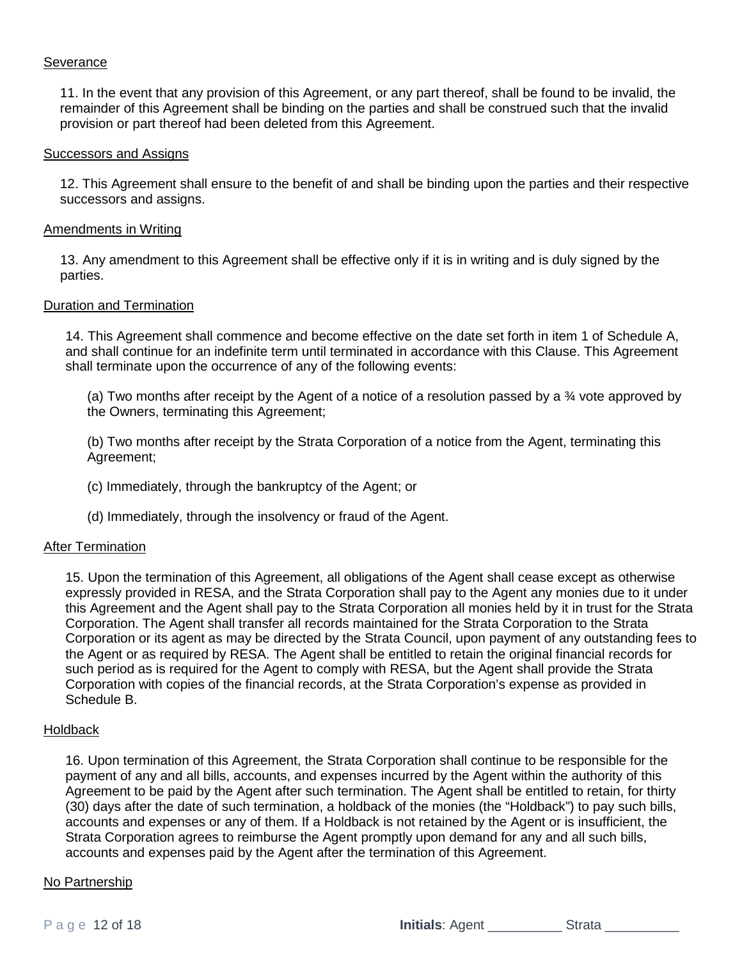#### Severance

11. In the event that any provision of this Agreement, or any part thereof, shall be found to be invalid, the remainder of this Agreement shall be binding on the parties and shall be construed such that the invalid provision or part thereof had been deleted from this Agreement.

#### Successors and Assigns

12. This Agreement shall ensure to the benefit of and shall be binding upon the parties and their respective successors and assigns.

#### Amendments in Writing

13. Any amendment to this Agreement shall be effective only if it is in writing and is duly signed by the parties.

#### Duration and Termination

14. This Agreement shall commence and become effective on the date set forth in item 1 of Schedule A, and shall continue for an indefinite term until terminated in accordance with this Clause. This Agreement shall terminate upon the occurrence of any of the following events:

(a) Two months after receipt by the Agent of a notice of a resolution passed by a  $\frac{3}{4}$  vote approved by the Owners, terminating this Agreement;

(b) Two months after receipt by the Strata Corporation of a notice from the Agent, terminating this Agreement;

- (c) Immediately, through the bankruptcy of the Agent; or
- (d) Immediately, through the insolvency or fraud of the Agent.

#### After Termination

15. Upon the termination of this Agreement, all obligations of the Agent shall cease except as otherwise expressly provided in RESA, and the Strata Corporation shall pay to the Agent any monies due to it under this Agreement and the Agent shall pay to the Strata Corporation all monies held by it in trust for the Strata Corporation. The Agent shall transfer all records maintained for the Strata Corporation to the Strata Corporation or its agent as may be directed by the Strata Council, upon payment of any outstanding fees to the Agent or as required by RESA. The Agent shall be entitled to retain the original financial records for such period as is required for the Agent to comply with RESA, but the Agent shall provide the Strata Corporation with copies of the financial records, at the Strata Corporation's expense as provided in Schedule B.

#### **Holdback**

16. Upon termination of this Agreement, the Strata Corporation shall continue to be responsible for the payment of any and all bills, accounts, and expenses incurred by the Agent within the authority of this Agreement to be paid by the Agent after such termination. The Agent shall be entitled to retain, for thirty (30) days after the date of such termination, a holdback of the monies (the "Holdback") to pay such bills, accounts and expenses or any of them. If a Holdback is not retained by the Agent or is insufficient, the Strata Corporation agrees to reimburse the Agent promptly upon demand for any and all such bills, accounts and expenses paid by the Agent after the termination of this Agreement.

#### No Partnership

Page 12 of 18 **Initials**: Agent \_\_\_\_\_\_\_\_\_\_\_\_Strata \_\_\_\_\_\_\_\_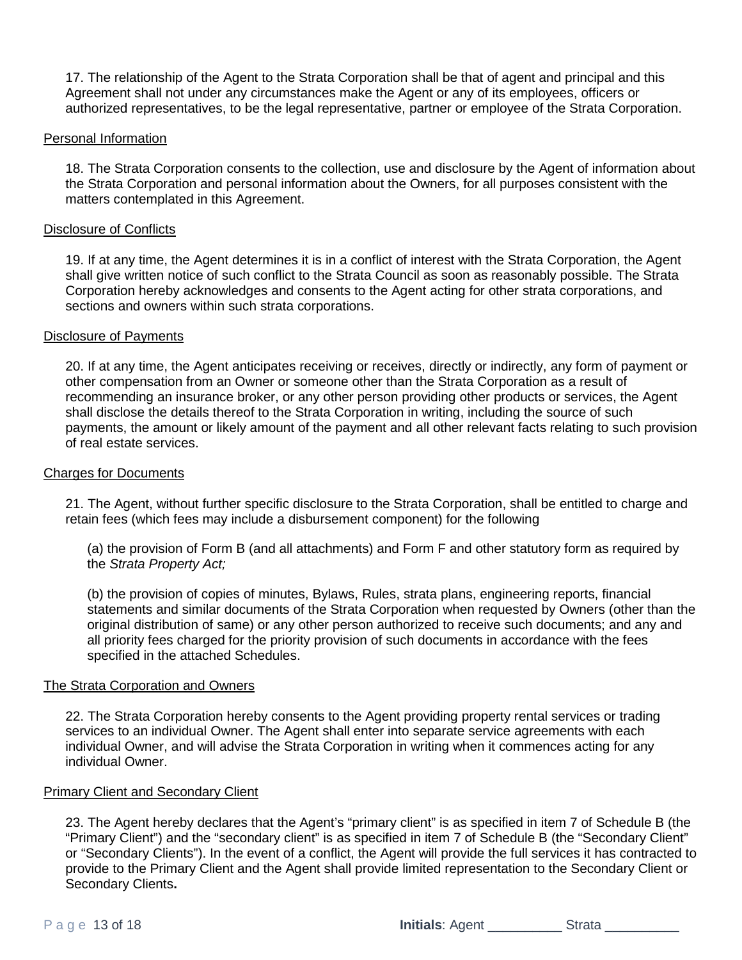17. The relationship of the Agent to the Strata Corporation shall be that of agent and principal and this Agreement shall not under any circumstances make the Agent or any of its employees, officers or authorized representatives, to be the legal representative, partner or employee of the Strata Corporation.

#### Personal Information

18. The Strata Corporation consents to the collection, use and disclosure by the Agent of information about the Strata Corporation and personal information about the Owners, for all purposes consistent with the matters contemplated in this Agreement.

#### Disclosure of Conflicts

19. If at any time, the Agent determines it is in a conflict of interest with the Strata Corporation, the Agent shall give written notice of such conflict to the Strata Council as soon as reasonably possible. The Strata Corporation hereby acknowledges and consents to the Agent acting for other strata corporations, and sections and owners within such strata corporations.

## Disclosure of Payments

20. If at any time, the Agent anticipates receiving or receives, directly or indirectly, any form of payment or other compensation from an Owner or someone other than the Strata Corporation as a result of recommending an insurance broker, or any other person providing other products or services, the Agent shall disclose the details thereof to the Strata Corporation in writing, including the source of such payments, the amount or likely amount of the payment and all other relevant facts relating to such provision of real estate services.

#### Charges for Documents

21. The Agent, without further specific disclosure to the Strata Corporation, shall be entitled to charge and retain fees (which fees may include a disbursement component) for the following

(a) the provision of Form B (and all attachments) and Form F and other statutory form as required by the *Strata Property Act;*

(b) the provision of copies of minutes, Bylaws, Rules, strata plans, engineering reports, financial statements and similar documents of the Strata Corporation when requested by Owners (other than the original distribution of same) or any other person authorized to receive such documents; and any and all priority fees charged for the priority provision of such documents in accordance with the fees specified in the attached Schedules.

#### The Strata Corporation and Owners

22. The Strata Corporation hereby consents to the Agent providing property rental services or trading services to an individual Owner. The Agent shall enter into separate service agreements with each individual Owner, and will advise the Strata Corporation in writing when it commences acting for any individual Owner.

#### Primary Client and Secondary Client

23. The Agent hereby declares that the Agent's "primary client" is as specified in item 7 of Schedule B (the "Primary Client") and the "secondary client" is as specified in item 7 of Schedule B (the "Secondary Client" or "Secondary Clients"). In the event of a conflict, the Agent will provide the full services it has contracted to provide to the Primary Client and the Agent shall provide limited representation to the Secondary Client or Secondary Clients**.**

Page 13 of 18 **Initials**: Agent \_\_\_\_\_\_\_\_\_\_ Strata \_\_\_\_\_\_\_\_\_\_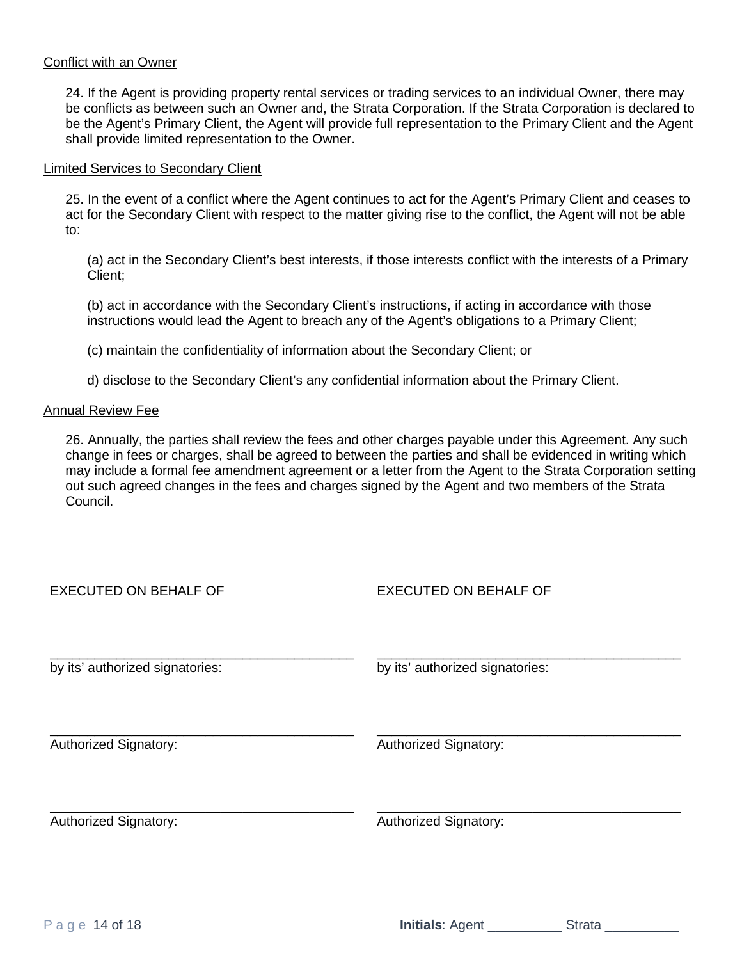#### Conflict with an Owner

24. If the Agent is providing property rental services or trading services to an individual Owner, there may be conflicts as between such an Owner and, the Strata Corporation. If the Strata Corporation is declared to be the Agent's Primary Client, the Agent will provide full representation to the Primary Client and the Agent shall provide limited representation to the Owner.

#### Limited Services to Secondary Client

25. In the event of a conflict where the Agent continues to act for the Agent's Primary Client and ceases to act for the Secondary Client with respect to the matter giving rise to the conflict, the Agent will not be able to:

(a) act in the Secondary Client's best interests, if those interests conflict with the interests of a Primary Client;

(b) act in accordance with the Secondary Client's instructions, if acting in accordance with those instructions would lead the Agent to breach any of the Agent's obligations to a Primary Client;

(c) maintain the confidentiality of information about the Secondary Client; or

d) disclose to the Secondary Client's any confidential information about the Primary Client.

## Annual Review Fee

26. Annually, the parties shall review the fees and other charges payable under this Agreement. Any such change in fees or charges, shall be agreed to between the parties and shall be evidenced in writing which may include a formal fee amendment agreement or a letter from the Agent to the Strata Corporation setting out such agreed changes in the fees and charges signed by the Agent and two members of the Strata Council.

| <b>EXECUTED ON BEHALF OF</b>    | <b>EXECUTED ON BEHALF OF</b>    |
|---------------------------------|---------------------------------|
| by its' authorized signatories: | by its' authorized signatories: |
| <b>Authorized Signatory:</b>    | Authorized Signatory:           |
| Authorized Signatory:           | Authorized Signatory:           |
|                                 |                                 |

Page 14 of 18 **Initials**: Agent \_\_\_\_\_\_\_\_\_\_\_\_\_\_ Strata \_\_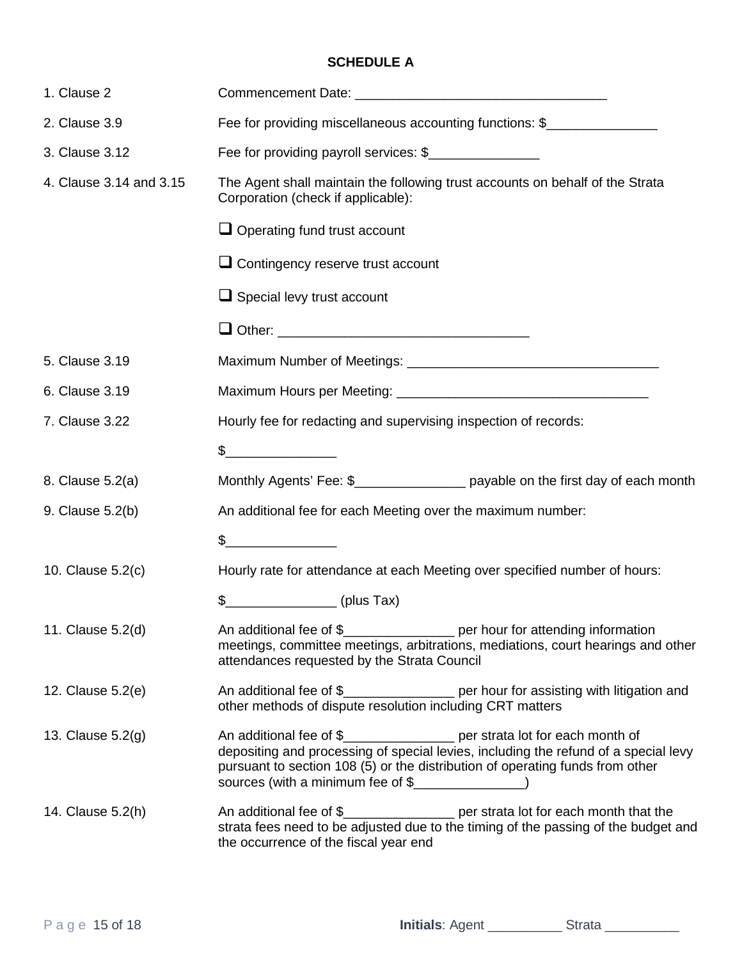# **SCHEDULE A**

| 1. Clause 2             |                                                                                                                                                                                                                                                   |  |
|-------------------------|---------------------------------------------------------------------------------------------------------------------------------------------------------------------------------------------------------------------------------------------------|--|
| 2. Clause 3.9           | Fee for providing miscellaneous accounting functions: \$                                                                                                                                                                                          |  |
| 3. Clause 3.12          | Fee for providing payroll services: \$                                                                                                                                                                                                            |  |
| 4. Clause 3.14 and 3.15 | The Agent shall maintain the following trust accounts on behalf of the Strata<br>Corporation (check if applicable):                                                                                                                               |  |
|                         | $\Box$ Operating fund trust account                                                                                                                                                                                                               |  |
|                         | $\Box$ Contingency reserve trust account                                                                                                                                                                                                          |  |
|                         | $\Box$ Special levy trust account                                                                                                                                                                                                                 |  |
|                         |                                                                                                                                                                                                                                                   |  |
| 5. Clause 3.19          |                                                                                                                                                                                                                                                   |  |
| 6. Clause 3.19          |                                                                                                                                                                                                                                                   |  |
| 7. Clause 3.22          | Hourly fee for redacting and supervising inspection of records:                                                                                                                                                                                   |  |
|                         | $\frac{2}{2}$                                                                                                                                                                                                                                     |  |
| 8. Clause 5.2(a)        | Monthly Agents' Fee: \$__________________ payable on the first day of each month                                                                                                                                                                  |  |
| 9. Clause 5.2(b)        | An additional fee for each Meeting over the maximum number:                                                                                                                                                                                       |  |
|                         | \$                                                                                                                                                                                                                                                |  |
| 10. Clause 5.2(c)       | Hourly rate for attendance at each Meeting over specified number of hours:                                                                                                                                                                        |  |
|                         | \$<br><u>_________________</u> (plus Tax)                                                                                                                                                                                                         |  |
| 11. Clause 5.2(d)       | An additional fee of \$__________________ per hour for attending information<br>meetings, committee meetings, arbitrations, mediations, court hearings and other<br>attendances requested by the Strata Council                                   |  |
| 12. Clause 5.2(e)       | An additional fee of \$_________________ per hour for assisting with litigation and<br>other methods of dispute resolution including CRT matters                                                                                                  |  |
| 13. Clause 5.2(g)       | An additional fee of \$_________________ per strata lot for each month of<br>depositing and processing of special levies, including the refund of a special levy<br>pursuant to section 108 (5) or the distribution of operating funds from other |  |
| 14. Clause 5.2(h)       | An additional fee of \$_________________ per strata lot for each month that the<br>strata fees need to be adjusted due to the timing of the passing of the budget and<br>the occurrence of the fiscal year end                                    |  |

Page 15 of 18 **Initials**: Agent \_\_\_\_\_\_\_\_\_\_ Strata \_\_\_\_\_\_\_\_\_\_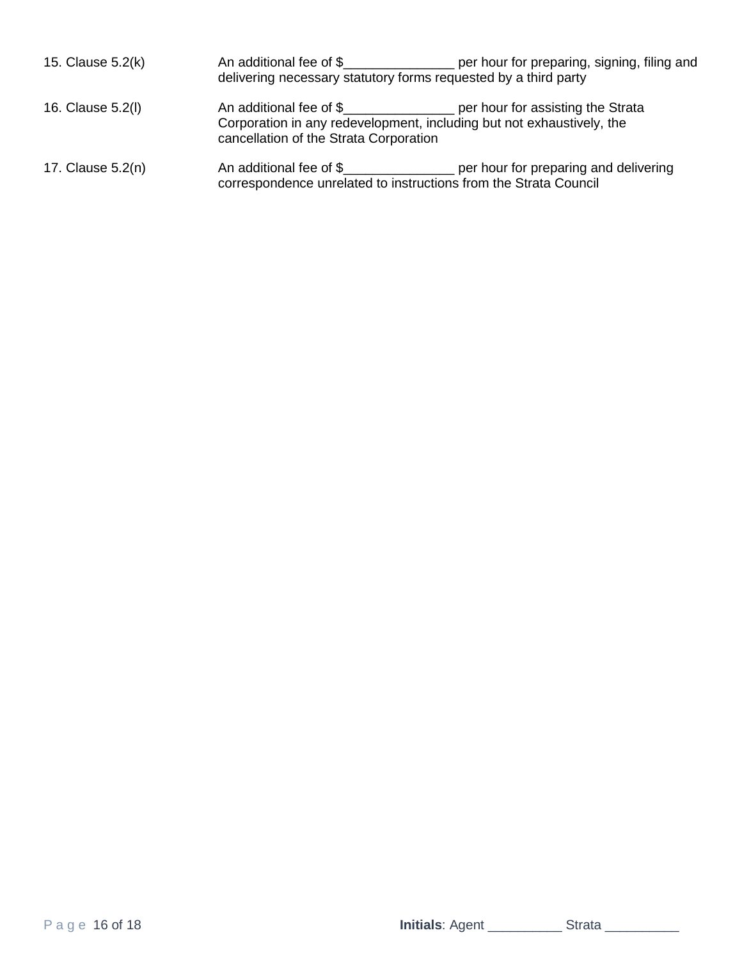| 15. Clause 5.2(k) | An additional fee of \$                                                                                                                                                                            | per hour for preparing, signing, filing and<br>delivering necessary statutory forms requested by a third party                                           |
|-------------------|----------------------------------------------------------------------------------------------------------------------------------------------------------------------------------------------------|----------------------------------------------------------------------------------------------------------------------------------------------------------|
| 16. Clause 5.2(l) | An additional fee of \$______________________ per hour for assisting the Strata<br>Corporation in any redevelopment, including but not exhaustively, the<br>cancellation of the Strata Corporation |                                                                                                                                                          |
| 17. Clause 5.2(n) |                                                                                                                                                                                                    | An additional fee of \$_______________________ per hour for preparing and delivering<br>correspondence unrelated to instructions from the Strata Council |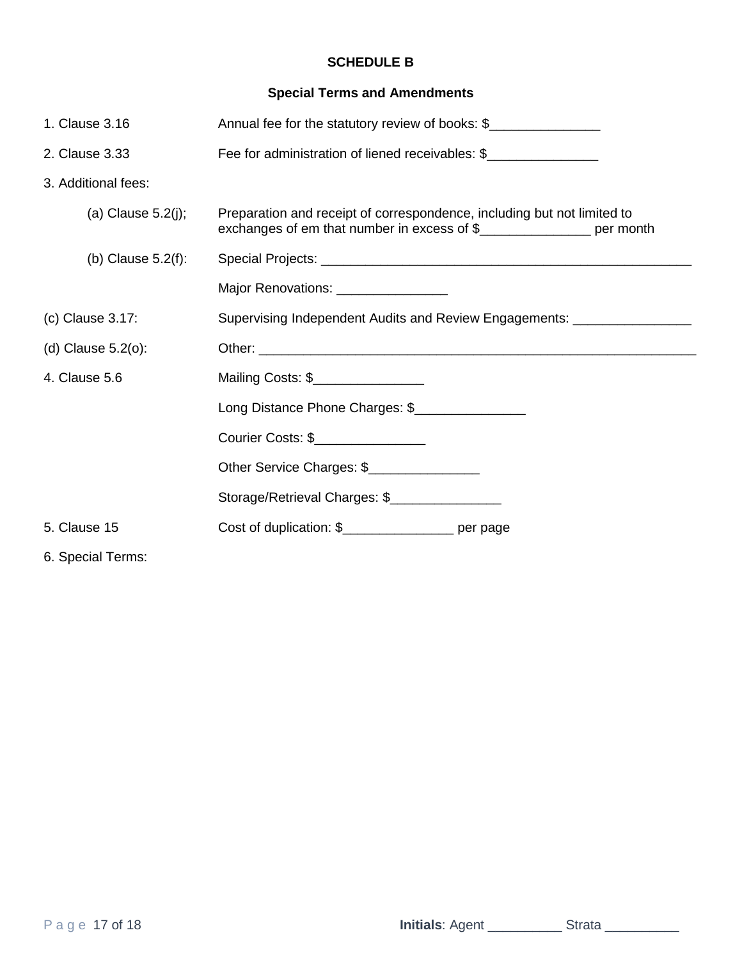# **SCHEDULE B**

# **Special Terms and Amendments**

| 1. Clause 3.16        | Annual fee for the statutory review of books: \$                                                                       |  |
|-----------------------|------------------------------------------------------------------------------------------------------------------------|--|
| 2. Clause 3.33        | Fee for administration of liened receivables: \$                                                                       |  |
| 3. Additional fees:   |                                                                                                                        |  |
| (a) Clause $5.2(j)$ ; | Preparation and receipt of correspondence, including but not limited to<br>exchanges of em that number in excess of \$ |  |
| (b) Clause $5.2(f)$ : |                                                                                                                        |  |
|                       | Major Renovations: ________________                                                                                    |  |
| (c) Clause 3.17:      | Supervising Independent Audits and Review Engagements: ___________________                                             |  |
| (d) Clause $5.2(0)$ : |                                                                                                                        |  |
| 4. Clause 5.6         | Mailing Costs: \$                                                                                                      |  |
|                       | Long Distance Phone Charges: \$                                                                                        |  |
|                       | Courier Costs: \$                                                                                                      |  |
|                       | Other Service Charges: \$                                                                                              |  |
|                       | Storage/Retrieval Charges: \$                                                                                          |  |
| 5. Clause 15          | Cost of duplication: \$____________________ per page                                                                   |  |
| 6. Special Terms:     |                                                                                                                        |  |